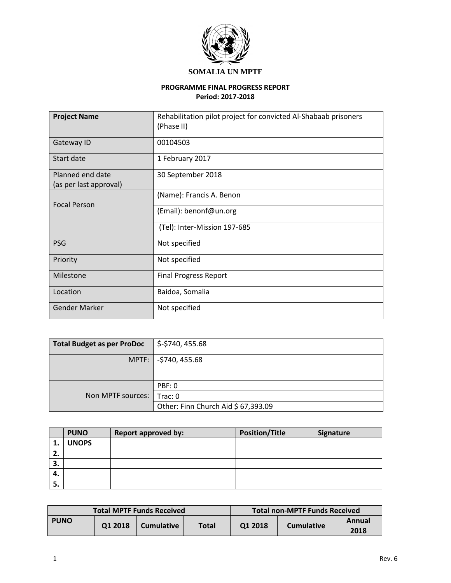

## **SOMALIA UN MPTF**

## **PROGRAMME FINAL PROGRESS REPORT Period: 2017-2018**

| <b>Project Name</b>                                             | Rehabilitation pilot project for convicted Al-Shabaab prisoners<br>(Phase II) |
|-----------------------------------------------------------------|-------------------------------------------------------------------------------|
| Gateway ID                                                      | 00104503                                                                      |
| Start date                                                      | 1 February 2017                                                               |
| Planned end date<br>30 September 2018<br>(as per last approval) |                                                                               |
| <b>Focal Person</b>                                             | (Name): Francis A. Benon                                                      |
|                                                                 | (Email): benonf@un.org                                                        |
|                                                                 | (Tel): Inter-Mission 197-685                                                  |
| <b>PSG</b>                                                      | Not specified                                                                 |
| Priority                                                        | Not specified                                                                 |
| Milestone                                                       | <b>Final Progress Report</b>                                                  |
| Location                                                        | Baidoa, Somalia                                                               |
| <b>Gender Marker</b>                                            | Not specified                                                                 |

| <b>Total Budget as per ProDoc</b> | $\frac{1}{2}$ \$-\$740, 455.68      |
|-----------------------------------|-------------------------------------|
|                                   | MPTF:   -\$740, 455.68              |
|                                   |                                     |
|                                   | PBF: 0                              |
| Non MPTF sources:                 | Trac:0                              |
|                                   | Other: Finn Church Aid \$ 67,393.09 |

|         | <b>PUNO</b>  | <b>Report approved by:</b> | <b>Position/Title</b> | Signature |
|---------|--------------|----------------------------|-----------------------|-----------|
| д.,     | <b>UNOPS</b> |                            |                       |           |
| ר<br>۷. |              |                            |                       |           |
| 3.      |              |                            |                       |           |
| 4.      |              |                            |                       |           |
| 5.      |              |                            |                       |           |

| <b>Total MPTF Funds Received</b> |         |                   |       | Total non-MPTF Funds Received |                   |                |
|----------------------------------|---------|-------------------|-------|-------------------------------|-------------------|----------------|
| <b>PUNO</b>                      | 01 2018 | <b>Cumulative</b> | Total | 01 2018                       | <b>Cumulative</b> | Annual<br>2018 |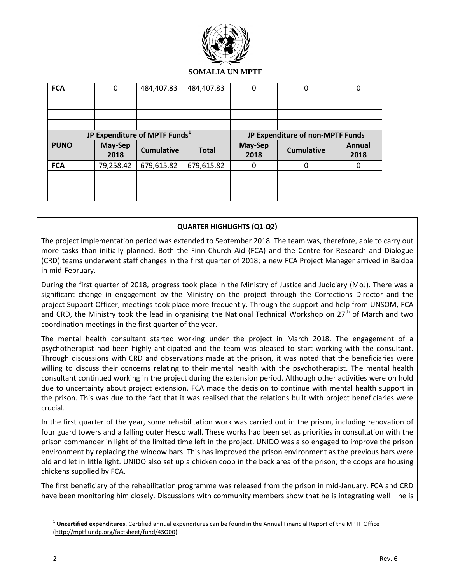

## **SOMALIA UN MPTF**

| <b>FCA</b>  | 0               | 484,407.83                                | 484,407.83   | 0                                | 0                 | 0              |
|-------------|-----------------|-------------------------------------------|--------------|----------------------------------|-------------------|----------------|
|             |                 |                                           |              |                                  |                   |                |
|             |                 |                                           |              |                                  |                   |                |
|             |                 |                                           |              |                                  |                   |                |
|             |                 | JP Expenditure of MPTF Funds <sup>1</sup> |              | JP Expenditure of non-MPTF Funds |                   |                |
| <b>PUNO</b> | May-Sep<br>2018 | <b>Cumulative</b>                         | <b>Total</b> | May-Sep<br>2018                  | <b>Cumulative</b> | Annual<br>2018 |
| <b>FCA</b>  | 79,258.42       | 679,615.82                                | 679,615.82   | 0                                | ∩                 | 0              |
|             |                 |                                           |              |                                  |                   |                |
|             |                 |                                           |              |                                  |                   |                |
|             |                 |                                           |              |                                  |                   |                |

## **QUARTER HIGHLIGHTS (Q1-Q2)**

The project implementation period was extended to September 2018. The team was, therefore, able to carry out more tasks than initially planned. Both the Finn Church Aid (FCA) and the Centre for Research and Dialogue (CRD) teams underwent staff changes in the first quarter of 2018; a new FCA Project Manager arrived in Baidoa in mid-February.

During the first quarter of 2018, progress took place in the Ministry of Justice and Judiciary (MoJ). There was a significant change in engagement by the Ministry on the project through the Corrections Director and the project Support Officer; meetings took place more frequently. Through the support and help from UNSOM, FCA and CRD, the Ministry took the lead in organising the National Technical Workshop on 27<sup>th</sup> of March and two coordination meetings in the first quarter of the year.

The mental health consultant started working under the project in March 2018. The engagement of a psychotherapist had been highly anticipated and the team was pleased to start working with the consultant. Through discussions with CRD and observations made at the prison, it was noted that the beneficiaries were willing to discuss their concerns relating to their mental health with the psychotherapist. The mental health consultant continued working in the project during the extension period. Although other activities were on hold due to uncertainty about project extension, FCA made the decision to continue with mental health support in the prison. This was due to the fact that it was realised that the relations built with project beneficiaries were crucial.

In the first quarter of the year, some rehabilitation work was carried out in the prison, including renovation of four guard towers and a falling outer Hesco wall. These works had been set as priorities in consultation with the prison commander in light of the limited time left in the project. UNIDO was also engaged to improve the prison environment by replacing the window bars. This has improved the prison environment as the previous bars were old and let in little light. UNIDO also set up a chicken coop in the back area of the prison; the coops are housing chickens supplied by FCA.

The first beneficiary of the rehabilitation programme was released from the prison in mid-January. FCA and CRD have been monitoring him closely. Discussions with community members show that he is integrating well – he is

 $\overline{\phantom{a}}$ 

<sup>&</sup>lt;sup>1</sup> Uncertified expenditures. Certified annual expenditures can be found in the Annual Financial Report of the MPTF Office [\(http://mptf.undp.org/factsheet/fund/4SO00\)](http://mptf.undp.org/factsheet/fund/4SO00)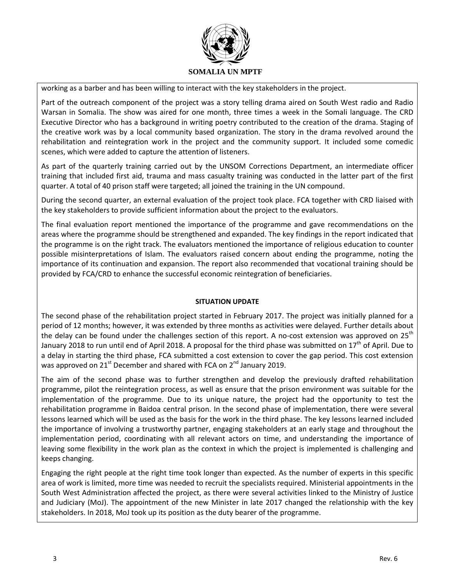

working as a barber and has been willing to interact with the key stakeholders in the project.

Part of the outreach component of the project was a story telling drama aired on South West radio and Radio Warsan in Somalia. The show was aired for one month, three times a week in the Somali language. The CRD Executive Director who has a background in writing poetry contributed to the creation of the drama. Staging of the creative work was by a local community based organization. The story in the drama revolved around the rehabilitation and reintegration work in the project and the community support. It included some comedic scenes, which were added to capture the attention of listeners.

As part of the quarterly training carried out by the UNSOM Corrections Department, an intermediate officer training that included first aid, trauma and mass casualty training was conducted in the latter part of the first quarter. A total of 40 prison staff were targeted; all joined the training in the UN compound.

During the second quarter, an external evaluation of the project took place. FCA together with CRD liaised with the key stakeholders to provide sufficient information about the project to the evaluators.

The final evaluation report mentioned the importance of the programme and gave recommendations on the areas where the programme should be strengthened and expanded. The key findings in the report indicated that the programme is on the right track. The evaluators mentioned the importance of religious education to counter possible misinterpretations of Islam. The evaluators raised concern about ending the programme, noting the importance of its continuation and expansion. The report also recommended that vocational training should be provided by FCA/CRD to enhance the successful economic reintegration of beneficiaries.

## **SITUATION UPDATE**

The second phase of the rehabilitation project started in February 2017. The project was initially planned for a period of 12 months; however, it was extended by three months as activities were delayed. Further details about the delay can be found under the challenges section of this report. A no-cost extension was approved on  $25<sup>th</sup>$ January 2018 to run until end of April 2018. A proposal for the third phase was submitted on  $17<sup>th</sup>$  of April. Due to a delay in starting the third phase, FCA submitted a cost extension to cover the gap period. This cost extension was approved on 21<sup>st</sup> December and shared with FCA on 2<sup>nd</sup> January 2019.

The aim of the second phase was to further strengthen and develop the previously drafted rehabilitation programme, pilot the reintegration process, as well as ensure that the prison environment was suitable for the implementation of the programme. Due to its unique nature, the project had the opportunity to test the rehabilitation programme in Baidoa central prison. In the second phase of implementation, there were several lessons learned which will be used as the basis for the work in the third phase. The key lessons learned included the importance of involving a trustworthy partner, engaging stakeholders at an early stage and throughout the implementation period, coordinating with all relevant actors on time, and understanding the importance of leaving some flexibility in the work plan as the context in which the project is implemented is challenging and keeps changing.

Engaging the right people at the right time took longer than expected. As the number of experts in this specific area of work is limited, more time was needed to recruit the specialists required. Ministerial appointments in the South West Administration affected the project, as there were several activities linked to the Ministry of Justice and Judiciary (MoJ). The appointment of the new Minister in late 2017 changed the relationship with the key stakeholders. In 2018, MoJ took up its position as the duty bearer of the programme.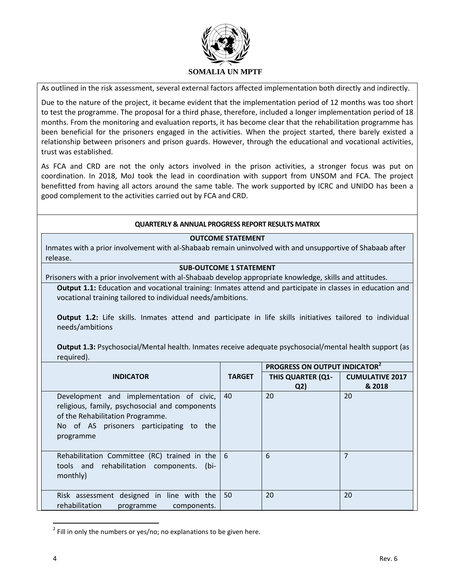

As outlined in the risk assessment, several external factors affected implementation both directly and indirectly.

Due to the nature of the project, it became evident that the implementation period of 12 months was too short to test the programme. The proposal for a third phase, therefore, included a longer implementation period of 18 months. From the monitoring and evaluation reports, it has become clear that the rehabilitation programme has been beneficial for the prisoners engaged in the activities. When the project started, there barely existed a relationship between prisoners and prison guards. However, through the educational and vocational activities, trust was established.

As FCA and CRD are not the only actors involved in the prison activities, a stronger focus was put on coordination. In 2018, MoJ took the lead in coordination with support from UNSOM and FCA. The project benefitted from having all actors around the same table. The work supported by ICRC and UNIDO has been a good complement to the activities carried out by FCA and CRD.

## **QUARTERLY & ANNUAL PROGRESS REPORT RESULTS MATRIX**

#### **OUTCOME STATEMENT**

Inmates with a prior involvement with al-Shabaab remain uninvolved with and unsupportive of Shabaab after release.

## **SUB-OUTCOME 1 STATEMENT**

Prisoners with a prior involvement with al-Shabaab develop appropriate knowledge, skills and attitudes.

**Output 1.1:** Education and vocational training: Inmates attend and participate in classes in education and vocational training tailored to individual needs/ambitions.

**Output 1.2:** Life skills. Inmates attend and participate in life skills initiatives tailored to individual needs/ambitions

**Output 1.3:** Psychosocial/Mental health. Inmates receive adequate psychosocial/mental health support (as required).

|                                                                                                                                                                                           |               | PROGRESS ON OUTPUT INDICATOR <sup>2</sup> |                        |
|-------------------------------------------------------------------------------------------------------------------------------------------------------------------------------------------|---------------|-------------------------------------------|------------------------|
| <b>INDICATOR</b>                                                                                                                                                                          | <b>TARGET</b> | <b>THIS QUARTER (Q1-</b>                  | <b>CUMULATIVE 2017</b> |
|                                                                                                                                                                                           |               | Q <sub>2</sub>                            | & 2018                 |
| Development and implementation of civic,<br>religious, family, psychosocial and components<br>of the Rehabilitation Programme.<br>No of AS prisoners participating to<br>the<br>programme | 40            | 20                                        | 20                     |
| Rehabilitation Committee (RC) trained in the $\vert 6 \rangle$<br>tools and rehabilitation components.<br>(bi-<br>monthly)                                                                |               | 6                                         | $\overline{7}$         |
| Risk assessment designed in line with the<br>rehabilitation<br>components.<br>programme                                                                                                   | 50            | 20                                        | 20                     |

 $^{2}$  Fill in only the numbers or yes/no; no explanations to be given here.

 $\overline{\phantom{a}}$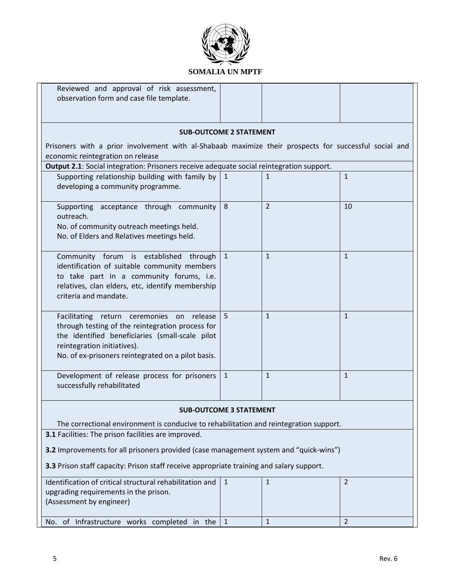

| Reviewed and approval of risk assessment,<br>observation form and case file template.                                                                                                                                                 |                                |                |              |  |  |
|---------------------------------------------------------------------------------------------------------------------------------------------------------------------------------------------------------------------------------------|--------------------------------|----------------|--------------|--|--|
|                                                                                                                                                                                                                                       |                                |                |              |  |  |
|                                                                                                                                                                                                                                       | <b>SUB-OUTCOME 2 STATEMENT</b> |                |              |  |  |
| Prisoners with a prior involvement with al-Shabaab maximize their prospects for successful social and<br>economic reintegration on release                                                                                            |                                |                |              |  |  |
| Output 2.1: Social integration: Prisoners receive adequate social reintegration support.                                                                                                                                              |                                |                |              |  |  |
| Supporting relationship building with family by $\vert 1 \rangle$<br>developing a community programme.                                                                                                                                |                                | $\mathbf{1}$   | $\mathbf{1}$ |  |  |
| Supporting acceptance through community<br>outreach.<br>No. of community outreach meetings held.<br>No. of Elders and Relatives meetings held.                                                                                        | 8                              | $\overline{2}$ | 10           |  |  |
| Community forum is established through<br>identification of suitable community members<br>to take part in a community forums, i.e.<br>relatives, clan elders, etc, identify membership<br>criteria and mandate.                       | $\mathbf{1}$                   | $\mathbf{1}$   | $\mathbf{1}$ |  |  |
| Facilitating return ceremonies on release<br>through testing of the reintegration process for<br>the identified beneficiaries (small-scale pilot<br>reintegration initiatives).<br>No. of ex-prisoners reintegrated on a pilot basis. | 5                              | $\mathbf{1}$   | $\mathbf{1}$ |  |  |
| Development of release process for prisoners<br>successfully rehabilitated                                                                                                                                                            | $\mathbf{1}$                   | $\mathbf{1}$   | $\mathbf{1}$ |  |  |
|                                                                                                                                                                                                                                       | <b>SUB-OUTCOME 3 STATEMENT</b> |                |              |  |  |
| The correctional environment is conducive to rehabilitation and reintegration support.                                                                                                                                                |                                |                |              |  |  |
| 3.1 Facilities: The prison facilities are improved.                                                                                                                                                                                   |                                |                |              |  |  |
| <b>3.2</b> Improvements for all prisoners provided (case management system and "quick-wins")                                                                                                                                          |                                |                |              |  |  |
| 3.3 Prison staff capacity: Prison staff receive appropriate training and salary support.                                                                                                                                              |                                |                |              |  |  |
| Identification of critical structural rehabilitation and<br>upgrading requirements in the prison.<br>(Assessment by engineer)                                                                                                         | $\mathbf{1}$                   | $\mathbf{1}$   | 2            |  |  |
| No. of Infrastructure works completed in the                                                                                                                                                                                          | $\mathbf{1}$                   | $\mathbf{1}$   | 2            |  |  |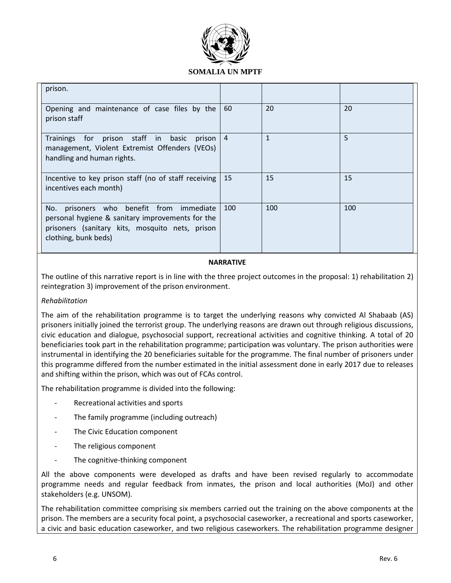

| prison.                                                                                                                                                                    |     |              |     |
|----------------------------------------------------------------------------------------------------------------------------------------------------------------------------|-----|--------------|-----|
| Opening and maintenance of case files by the<br>prison staff                                                                                                               | 60  | 20           | 20  |
| Trainings for prison staff in basic prison 4<br>management, Violent Extremist Offenders (VEOs)<br>handling and human rights.                                               |     | $\mathbf{1}$ | 5   |
| Incentive to key prison staff (no of staff receiving<br>incentives each month)                                                                                             | 15  | 15           | 15  |
| prisoners who benefit from immediate<br>No.<br>personal hygiene & sanitary improvements for the<br>prisoners (sanitary kits, mosquito nets, prison<br>clothing, bunk beds) | 100 | 100          | 100 |

## **NARRATIVE**

The outline of this narrative report is in line with the three project outcomes in the proposal: 1) rehabilitation 2) reintegration 3) improvement of the prison environment.

## *Rehabilitation*

The aim of the rehabilitation programme is to target the underlying reasons why convicted Al Shabaab (AS) prisoners initially joined the terrorist group. The underlying reasons are drawn out through religious discussions, civic education and dialogue, psychosocial support, recreational activities and cognitive thinking. A total of 20 beneficiaries took part in the rehabilitation programme; participation was voluntary. The prison authorities were instrumental in identifying the 20 beneficiaries suitable for the programme. The final number of prisoners under this programme differed from the number estimated in the initial assessment done in early 2017 due to releases and shifting within the prison, which was out of FCAs control.

The rehabilitation programme is divided into the following:

- Recreational activities and sports
- The family programme (including outreach)
- The Civic Education component
- The religious component
- The cognitive-thinking component

All the above components were developed as drafts and have been revised regularly to accommodate programme needs and regular feedback from inmates, the prison and local authorities (MoJ) and other stakeholders (e.g. UNSOM).

The rehabilitation committee comprising six members carried out the training on the above components at the prison. The members are a security focal point, a psychosocial caseworker, a recreational and sports caseworker, a civic and basic education caseworker, and two religious caseworkers. The rehabilitation programme designer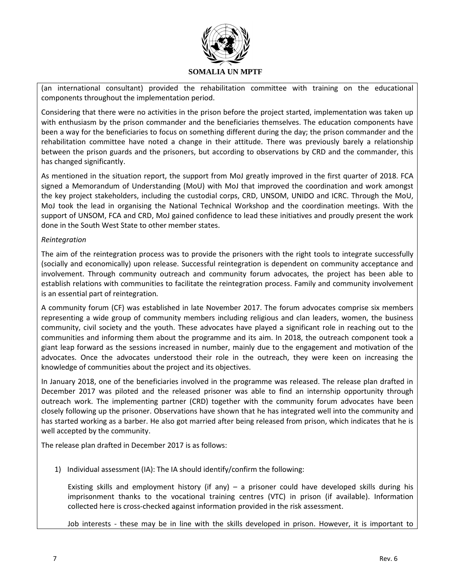

(an international consultant) provided the rehabilitation committee with training on the educational components throughout the implementation period.

Considering that there were no activities in the prison before the project started, implementation was taken up with enthusiasm by the prison commander and the beneficiaries themselves. The education components have been a way for the beneficiaries to focus on something different during the day; the prison commander and the rehabilitation committee have noted a change in their attitude. There was previously barely a relationship between the prison guards and the prisoners, but according to observations by CRD and the commander, this has changed significantly.

As mentioned in the situation report, the support from MoJ greatly improved in the first quarter of 2018. FCA signed a Memorandum of Understanding (MoU) with MoJ that improved the coordination and work amongst the key project stakeholders, including the custodial corps, CRD, UNSOM, UNIDO and ICRC. Through the MoU, MoJ took the lead in organising the National Technical Workshop and the coordination meetings. With the support of UNSOM, FCA and CRD, MoJ gained confidence to lead these initiatives and proudly present the work done in the South West State to other member states.

#### *Reintegration*

The aim of the reintegration process was to provide the prisoners with the right tools to integrate successfully (socially and economically) upon release. Successful reintegration is dependent on community acceptance and involvement. Through community outreach and community forum advocates, the project has been able to establish relations with communities to facilitate the reintegration process. Family and community involvement is an essential part of reintegration*.*

A community forum (CF) was established in late November 2017. The forum advocates comprise six members representing a wide group of community members including religious and clan leaders, women, the business community, civil society and the youth. These advocates have played a significant role in reaching out to the communities and informing them about the programme and its aim. In 2018, the outreach component took a giant leap forward as the sessions increased in number, mainly due to the engagement and motivation of the advocates. Once the advocates understood their role in the outreach, they were keen on increasing the knowledge of communities about the project and its objectives.

In January 2018, one of the beneficiaries involved in the programme was released. The release plan drafted in December 2017 was piloted and the released prisoner was able to find an internship opportunity through outreach work. The implementing partner (CRD) together with the community forum advocates have been closely following up the prisoner. Observations have shown that he has integrated well into the community and has started working as a barber. He also got married after being released from prison, which indicates that he is well accepted by the community.

The release plan drafted in December 2017 is as follows:

1) Individual assessment (IA): The IA should identify/confirm the following:

Existing skills and employment history (if any) – a prisoner could have developed skills during his imprisonment thanks to the vocational training centres (VTC) in prison (if available). Information collected here is cross-checked against information provided in the risk assessment.

Job interests - these may be in line with the skills developed in prison. However, it is important to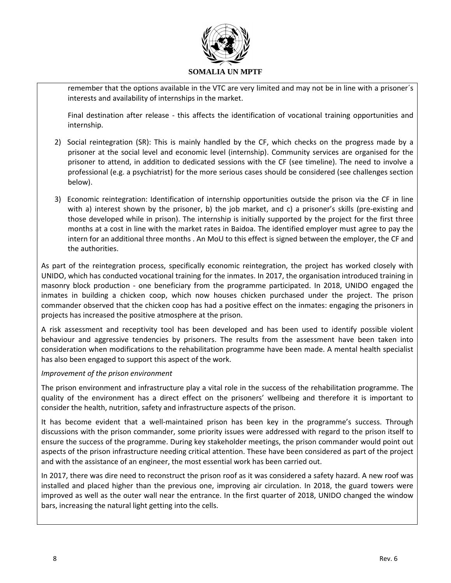

remember that the options available in the VTC are very limited and may not be in line with a prisoner´s interests and availability of internships in the market.

Final destination after release - this affects the identification of vocational training opportunities and internship.

- 2) Social reintegration (SR): This is mainly handled by the CF, which checks on the progress made by a prisoner at the social level and economic level (internship). Community services are organised for the prisoner to attend, in addition to dedicated sessions with the CF (see timeline). The need to involve a professional (e.g. a psychiatrist) for the more serious cases should be considered (see challenges section below).
- 3) Economic reintegration: Identification of internship opportunities outside the prison via the CF in line with a) interest shown by the prisoner, b) the job market, and c) a prisoner's skills (pre-existing and those developed while in prison). The internship is initially supported by the project for the first three months at a cost in line with the market rates in Baidoa. The identified employer must agree to pay the intern for an additional three months . An MoU to this effect is signed between the employer, the CF and the authorities.

As part of the reintegration process, specifically economic reintegration, the project has worked closely with UNIDO, which has conducted vocational training for the inmates. In 2017, the organisation introduced training in masonry block production - one beneficiary from the programme participated. In 2018, UNIDO engaged the inmates in building a chicken coop, which now houses chicken purchased under the project. The prison commander observed that the chicken coop has had a positive effect on the inmates: engaging the prisoners in projects has increased the positive atmosphere at the prison.

A risk assessment and receptivity tool has been developed and has been used to identify possible violent behaviour and aggressive tendencies by prisoners. The results from the assessment have been taken into consideration when modifications to the rehabilitation programme have been made. A mental health specialist has also been engaged to support this aspect of the work.

## *Improvement of the prison environment*

The prison environment and infrastructure play a vital role in the success of the rehabilitation programme. The quality of the environment has a direct effect on the prisoners' wellbeing and therefore it is important to consider the health, nutrition, safety and infrastructure aspects of the prison.

It has become evident that a well-maintained prison has been key in the programme's success. Through discussions with the prison commander, some priority issues were addressed with regard to the prison itself to ensure the success of the programme. During key stakeholder meetings, the prison commander would point out aspects of the prison infrastructure needing critical attention. These have been considered as part of the project and with the assistance of an engineer, the most essential work has been carried out.

In 2017, there was dire need to reconstruct the prison roof as it was considered a safety hazard. A new roof was installed and placed higher than the previous one, improving air circulation. In 2018, the guard towers were improved as well as the outer wall near the entrance. In the first quarter of 2018, UNIDO changed the window bars, increasing the natural light getting into the cells.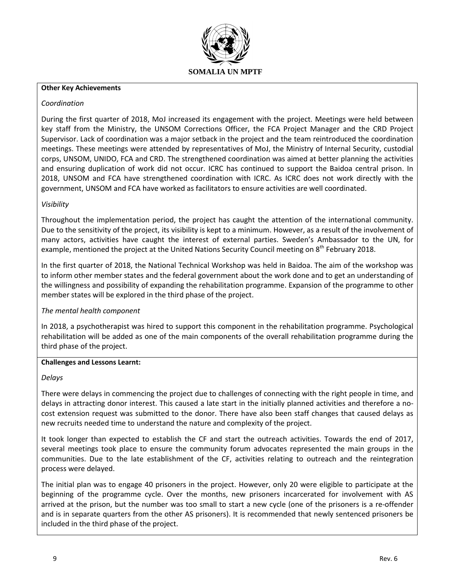

#### **Other Key Achievements**

### *Coordination*

During the first quarter of 2018, MoJ increased its engagement with the project. Meetings were held between key staff from the Ministry, the UNSOM Corrections Officer, the FCA Project Manager and the CRD Project Supervisor. Lack of coordination was a major setback in the project and the team reintroduced the coordination meetings. These meetings were attended by representatives of MoJ, the Ministry of Internal Security, custodial corps, UNSOM, UNIDO, FCA and CRD. The strengthened coordination was aimed at better planning the activities and ensuring duplication of work did not occur. ICRC has continued to support the Baidoa central prison. In 2018, UNSOM and FCA have strengthened coordination with ICRC. As ICRC does not work directly with the government, UNSOM and FCA have worked as facilitators to ensure activities are well coordinated.

## *Visibility*

Throughout the implementation period, the project has caught the attention of the international community. Due to the sensitivity of the project, its visibility is kept to a minimum. However, as a result of the involvement of many actors, activities have caught the interest of external parties. Sweden's Ambassador to the UN, for example, mentioned the project at the United Nations Security Council meeting on 8<sup>th</sup> February 2018.

In the first quarter of 2018, the National Technical Workshop was held in Baidoa. The aim of the workshop was to inform other member states and the federal government about the work done and to get an understanding of the willingness and possibility of expanding the rehabilitation programme. Expansion of the programme to other member states will be explored in the third phase of the project.

## *The mental health component*

In 2018, a psychotherapist was hired to support this component in the rehabilitation programme. Psychological rehabilitation will be added as one of the main components of the overall rehabilitation programme during the third phase of the project.

#### **Challenges and Lessons Learnt:**

#### *Delays*

There were delays in commencing the project due to challenges of connecting with the right people in time, and delays in attracting donor interest. This caused a late start in the initially planned activities and therefore a nocost extension request was submitted to the donor. There have also been staff changes that caused delays as new recruits needed time to understand the nature and complexity of the project.

It took longer than expected to establish the CF and start the outreach activities. Towards the end of 2017, several meetings took place to ensure the community forum advocates represented the main groups in the communities. Due to the late establishment of the CF, activities relating to outreach and the reintegration process were delayed.

The initial plan was to engage 40 prisoners in the project. However, only 20 were eligible to participate at the beginning of the programme cycle. Over the months, new prisoners incarcerated for involvement with AS arrived at the prison, but the number was too small to start a new cycle (one of the prisoners is a re-offender and is in separate quarters from the other AS prisoners). It is recommended that newly sentenced prisoners be included in the third phase of the project.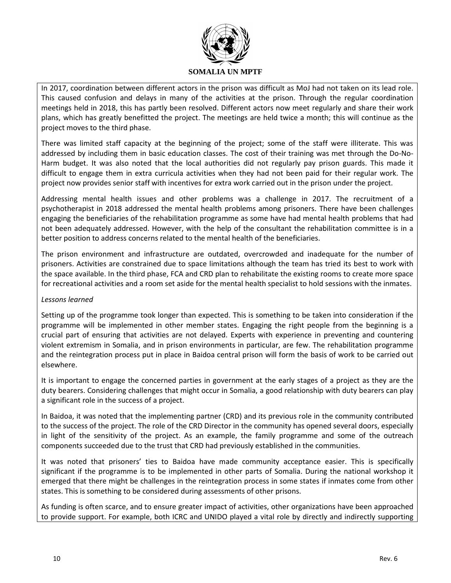

In 2017, coordination between different actors in the prison was difficult as MoJ had not taken on its lead role. This caused confusion and delays in many of the activities at the prison. Through the regular coordination meetings held in 2018, this has partly been resolved. Different actors now meet regularly and share their work plans, which has greatly benefitted the project. The meetings are held twice a month; this will continue as the project moves to the third phase.

There was limited staff capacity at the beginning of the project; some of the staff were illiterate. This was addressed by including them in basic education classes. The cost of their training was met through the Do-No-Harm budget. It was also noted that the local authorities did not regularly pay prison guards. This made it difficult to engage them in extra curricula activities when they had not been paid for their regular work. The project now provides senior staff with incentives for extra work carried out in the prison under the project.

Addressing mental health issues and other problems was a challenge in 2017. The recruitment of a psychotherapist in 2018 addressed the mental health problems among prisoners. There have been challenges engaging the beneficiaries of the rehabilitation programme as some have had mental health problems that had not been adequately addressed. However, with the help of the consultant the rehabilitation committee is in a better position to address concerns related to the mental health of the beneficiaries.

The prison environment and infrastructure are outdated, overcrowded and inadequate for the number of prisoners. Activities are constrained due to space limitations although the team has tried its best to work with the space available. In the third phase, FCA and CRD plan to rehabilitate the existing rooms to create more space for recreational activities and a room set aside for the mental health specialist to hold sessions with the inmates.

## *Lessons learned*

Setting up of the programme took longer than expected. This is something to be taken into consideration if the programme will be implemented in other member states. Engaging the right people from the beginning is a crucial part of ensuring that activities are not delayed. Experts with experience in preventing and countering violent extremism in Somalia, and in prison environments in particular, are few. The rehabilitation programme and the reintegration process put in place in Baidoa central prison will form the basis of work to be carried out elsewhere.

It is important to engage the concerned parties in government at the early stages of a project as they are the duty bearers. Considering challenges that might occur in Somalia, a good relationship with duty bearers can play a significant role in the success of a project.

In Baidoa, it was noted that the implementing partner (CRD) and its previous role in the community contributed to the success of the project. The role of the CRD Director in the community has opened several doors, especially in light of the sensitivity of the project. As an example, the family programme and some of the outreach components succeeded due to the trust that CRD had previously established in the communities.

It was noted that prisoners' ties to Baidoa have made community acceptance easier. This is specifically significant if the programme is to be implemented in other parts of Somalia. During the national workshop it emerged that there might be challenges in the reintegration process in some states if inmates come from other states. This is something to be considered during assessments of other prisons.

As funding is often scarce, and to ensure greater impact of activities, other organizations have been approached to provide support. For example, both ICRC and UNIDO played a vital role by directly and indirectly supporting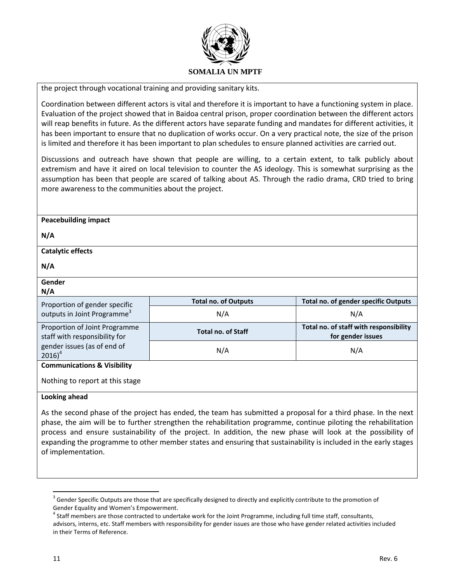

the project through vocational training and providing sanitary kits.

Coordination between different actors is vital and therefore it is important to have a functioning system in place. Evaluation of the project showed that in Baidoa central prison, proper coordination between the different actors will reap benefits in future. As the different actors have separate funding and mandates for different activities, it has been important to ensure that no duplication of works occur. On a very practical note, the size of the prison is limited and therefore it has been important to plan schedules to ensure planned activities are carried out.

Discussions and outreach have shown that people are willing, to a certain extent, to talk publicly about extremism and have it aired on local television to counter the AS ideology. This is somewhat surprising as the assumption has been that people are scared of talking about AS. Through the radio drama, CRD tried to bring more awareness to the communities about the project.

| <b>Peacebuilding impact</b>                                    |                                                                                                                                                                                                                                   |                                                             |
|----------------------------------------------------------------|-----------------------------------------------------------------------------------------------------------------------------------------------------------------------------------------------------------------------------------|-------------------------------------------------------------|
| N/A                                                            |                                                                                                                                                                                                                                   |                                                             |
| <b>Catalytic effects</b>                                       |                                                                                                                                                                                                                                   |                                                             |
| N/A                                                            |                                                                                                                                                                                                                                   |                                                             |
| Gender<br>N/A                                                  |                                                                                                                                                                                                                                   |                                                             |
| Proportion of gender specific                                  | <b>Total no. of Outputs</b>                                                                                                                                                                                                       | Total no. of gender specific Outputs                        |
| outputs in Joint Programme <sup>3</sup>                        | N/A                                                                                                                                                                                                                               | N/A                                                         |
| Proportion of Joint Programme<br>staff with responsibility for | <b>Total no. of Staff</b>                                                                                                                                                                                                         | Total no. of staff with responsibility<br>for gender issues |
| gender issues (as of end of<br>$2016)^4$                       | N/A                                                                                                                                                                                                                               | N/A                                                         |
| <b>Communications &amp; Visibility</b>                         |                                                                                                                                                                                                                                   |                                                             |
| Nothing to report at this stage                                |                                                                                                                                                                                                                                   |                                                             |
| Looking ahead                                                  |                                                                                                                                                                                                                                   |                                                             |
|                                                                | As the second phase of the project has ended, the team has submitted a proposal for a third phase. In the next<br>phase, the aim will be to further strengthen the rehabilitation programme, continue piloting the rehabilitation |                                                             |

phase, the aim will be to further strengthen the rehabilitation programme, continue piloting the rehabilitation process and ensure sustainability of the project. In addition, the new phase will look at the possibility of expanding the programme to other member states and ensuring that sustainability is included in the early stages of implementation.

 $\overline{\phantom{a}}$ 

 $3$  Gender Specific Outputs are those that are specifically designed to directly and explicitly contribute to the promotion of Gender Equality and Women's Empowerment.

<sup>&</sup>lt;sup>4</sup> Staff members are those contracted to undertake work for the Joint Programme, including full time staff, consultants, advisors, interns, etc. Staff members with responsibility for gender issues are those who have gender related activities included in their Terms of Reference.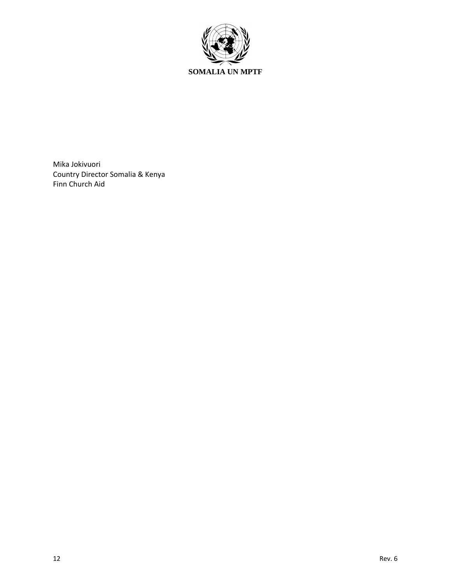

Mika Jokivuori Country Director Somalia & Kenya Finn Church Aid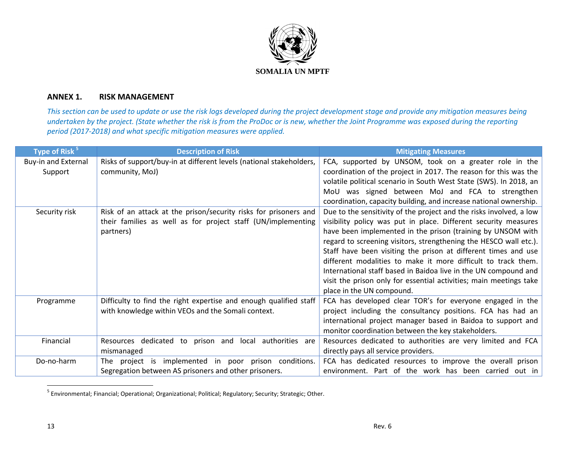

## **ANNEX 1. RISK MANAGEMENT**

*This section can be used to update or use the risk logs developed during the project development stage and provide any mitigation measures being undertaken by the project. (State whether the risk is from the ProDoc or is new, whether the Joint Programme was exposed during the reporting period (2017-2018) and what specific mitigation measures were applied.* 

| Type of Risk <sup>5</sup>  | <b>Description of Risk</b>                                          | <b>Mitigating Measures</b>                                          |
|----------------------------|---------------------------------------------------------------------|---------------------------------------------------------------------|
| <b>Buy-in and External</b> | Risks of support/buy-in at different levels (national stakeholders, | FCA, supported by UNSOM, took on a greater role in the              |
| Support                    | community, MoJ)                                                     | coordination of the project in 2017. The reason for this was the    |
|                            |                                                                     | volatile political scenario in South West State (SWS). In 2018, an  |
|                            |                                                                     | MoU was signed between MoJ and FCA to strengthen                    |
|                            |                                                                     | coordination, capacity building, and increase national ownership.   |
| Security risk              | Risk of an attack at the prison/security risks for prisoners and    | Due to the sensitivity of the project and the risks involved, a low |
|                            | their families as well as for project staff (UN/implementing        | visibility policy was put in place. Different security measures     |
|                            | partners)                                                           | have been implemented in the prison (training by UNSOM with         |
|                            |                                                                     | regard to screening visitors, strengthening the HESCO wall etc.).   |
|                            |                                                                     | Staff have been visiting the prison at different times and use      |
|                            |                                                                     | different modalities to make it more difficult to track them.       |
|                            |                                                                     | International staff based in Baidoa live in the UN compound and     |
|                            |                                                                     | visit the prison only for essential activities; main meetings take  |
|                            |                                                                     | place in the UN compound.                                           |
| Programme                  | Difficulty to find the right expertise and enough qualified staff   | FCA has developed clear TOR's for everyone engaged in the           |
|                            | with knowledge within VEOs and the Somali context.                  | project including the consultancy positions. FCA has had an         |
|                            |                                                                     | international project manager based in Baidoa to support and        |
|                            |                                                                     | monitor coordination between the key stakeholders.                  |
| Financial                  | Resources dedicated to prison and<br>local authorities are          | Resources dedicated to authorities are very limited and FCA         |
|                            | mismanaged                                                          | directly pays all service providers.                                |
| Do-no-harm                 | The project is implemented in poor prison conditions.               | FCA has dedicated resources to improve the overall prison           |
|                            | Segregation between AS prisoners and other prisoners.               | environment. Part of the work has been carried out in               |

 5 Environmental; Financial; Operational; Organizational; Political; Regulatory; Security; Strategic; Other.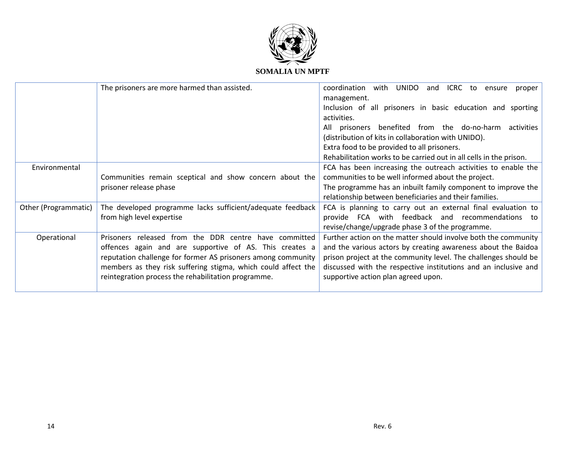

## **SOMALIA UN MPTF**

|                      | The prisoners are more harmed than assisted.                  | coordination<br>with<br><b>UNIDO</b><br>ICRC<br>and<br>to<br>ensure<br>proper<br>management. |
|----------------------|---------------------------------------------------------------|----------------------------------------------------------------------------------------------|
|                      |                                                               | Inclusion of all prisoners in basic education and sporting                                   |
|                      |                                                               | activities.                                                                                  |
|                      |                                                               | benefited from the do-no-harm<br>activities<br>All<br>prisoners                              |
|                      |                                                               | (distribution of kits in collaboration with UNIDO).                                          |
|                      |                                                               | Extra food to be provided to all prisoners.                                                  |
|                      |                                                               | Rehabilitation works to be carried out in all cells in the prison.                           |
| Environmental        |                                                               | FCA has been increasing the outreach activities to enable the                                |
|                      | Communities remain sceptical and show concern about the       | communities to be well informed about the project.                                           |
|                      | prisoner release phase                                        | The programme has an inbuilt family component to improve the                                 |
|                      |                                                               | relationship between beneficiaries and their families.                                       |
| Other (Programmatic) | The developed programme lacks sufficient/adequate feedback    | FCA is planning to carry out an external final evaluation to                                 |
|                      | from high level expertise                                     | provide FCA with feedback and recommendations<br>to                                          |
|                      |                                                               | revise/change/upgrade phase 3 of the programme.                                              |
| Operational          | Prisoners released from the DDR centre have committed         | Further action on the matter should involve both the community                               |
|                      | offences again and are supportive of AS. This creates a       | and the various actors by creating awareness about the Baidoa                                |
|                      | reputation challenge for former AS prisoners among community  | prison project at the community level. The challenges should be                              |
|                      | members as they risk suffering stigma, which could affect the | discussed with the respective institutions and an inclusive and                              |
|                      | reintegration process the rehabilitation programme.           | supportive action plan agreed upon.                                                          |
|                      |                                                               |                                                                                              |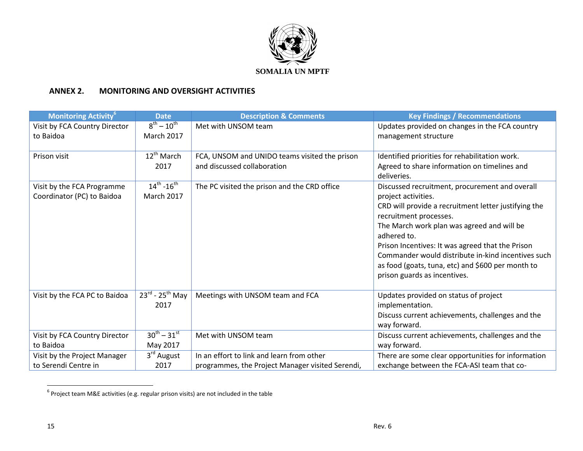

## **ANNEX 2. MONITORING AND OVERSIGHT ACTIVITIES**

| <b>Monitoring Activity<sup>6</sup></b> | <b>Date</b>                             | <b>Description &amp; Comments</b>                | <b>Key Findings / Recommendations</b>                |
|----------------------------------------|-----------------------------------------|--------------------------------------------------|------------------------------------------------------|
| Visit by FCA Country Director          | $8^{th} - 10^{th}$                      | Met with UNSOM team                              | Updates provided on changes in the FCA country       |
| to Baidoa                              | <b>March 2017</b>                       |                                                  | management structure                                 |
|                                        |                                         |                                                  |                                                      |
| Prison visit                           | $12^{th}$ March                         | FCA, UNSOM and UNIDO teams visited the prison    | Identified priorities for rehabilitation work.       |
|                                        | 2017                                    | and discussed collaboration                      | Agreed to share information on timelines and         |
|                                        |                                         |                                                  | deliveries.                                          |
| Visit by the FCA Programme             | $14^{th} - 16^{th}$                     | The PC visited the prison and the CRD office     | Discussed recruitment, procurement and overall       |
| Coordinator (PC) to Baidoa             | <b>March 2017</b>                       |                                                  | project activities.                                  |
|                                        |                                         |                                                  | CRD will provide a recruitment letter justifying the |
|                                        |                                         |                                                  | recruitment processes.                               |
|                                        |                                         |                                                  | The March work plan was agreed and will be           |
|                                        |                                         |                                                  | adhered to.                                          |
|                                        |                                         |                                                  | Prison Incentives: It was agreed that the Prison     |
|                                        |                                         |                                                  | Commander would distribute in-kind incentives such   |
|                                        |                                         |                                                  | as food (goats, tuna, etc) and \$600 per month to    |
|                                        |                                         |                                                  | prison guards as incentives.                         |
|                                        |                                         |                                                  |                                                      |
| Visit by the FCA PC to Baidoa          | $23^{\text{rd}}$ - $25^{\text{th}}$ May | Meetings with UNSOM team and FCA                 | Updates provided on status of project                |
|                                        | 2017                                    |                                                  | implementation.                                      |
|                                        |                                         |                                                  | Discuss current achievements, challenges and the     |
|                                        |                                         |                                                  | way forward.                                         |
| Visit by FCA Country Director          | $30^{th} - 31^{st}$                     | Met with UNSOM team                              | Discuss current achievements, challenges and the     |
| to Baidoa                              | May 2017                                |                                                  | way forward.                                         |
| Visit by the Project Manager           | $3rd$ August                            | In an effort to link and learn from other        | There are some clear opportunities for information   |
| to Serendi Centre in                   | 2017                                    | programmes, the Project Manager visited Serendi, | exchange between the FCA-ASI team that co-           |

 6 Project team M&E activities (e.g. regular prison visits) are not included in the table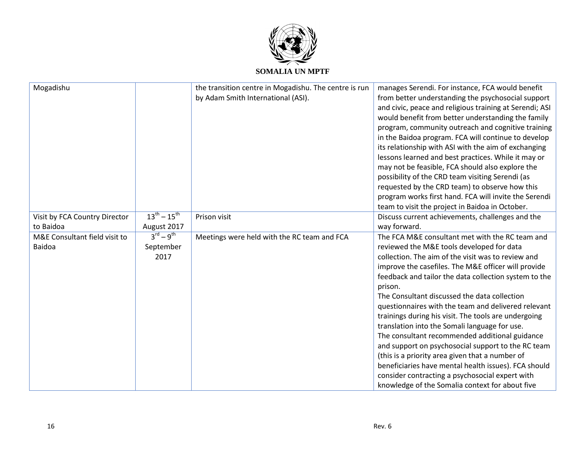

| Mogadishu                                      |                                                      | the transition centre in Mogadishu. The centre is run<br>by Adam Smith International (ASI). | manages Serendi. For instance, FCA would benefit<br>from better understanding the psychosocial support<br>and civic, peace and religious training at Serendi; ASI<br>would benefit from better understanding the family<br>program, community outreach and cognitive training<br>in the Baidoa program. FCA will continue to develop<br>its relationship with ASI with the aim of exchanging<br>lessons learned and best practices. While it may or<br>may not be feasible, FCA should also explore the<br>possibility of the CRD team visiting Serendi (as<br>requested by the CRD team) to observe how this<br>program works first hand. FCA will invite the Serendi<br>team to visit the project in Baidoa in October.                                                                                              |
|------------------------------------------------|------------------------------------------------------|---------------------------------------------------------------------------------------------|------------------------------------------------------------------------------------------------------------------------------------------------------------------------------------------------------------------------------------------------------------------------------------------------------------------------------------------------------------------------------------------------------------------------------------------------------------------------------------------------------------------------------------------------------------------------------------------------------------------------------------------------------------------------------------------------------------------------------------------------------------------------------------------------------------------------|
| Visit by FCA Country Director                  | $13^{th} - 15^{th}$                                  | Prison visit                                                                                | Discuss current achievements, challenges and the                                                                                                                                                                                                                                                                                                                                                                                                                                                                                                                                                                                                                                                                                                                                                                       |
| to Baidoa                                      | August 2017                                          |                                                                                             | way forward.                                                                                                                                                                                                                                                                                                                                                                                                                                                                                                                                                                                                                                                                                                                                                                                                           |
| M&E Consultant field visit to<br><b>Baidoa</b> | $3^{\text{rd}} - 9^{\text{th}}$<br>September<br>2017 | Meetings were held with the RC team and FCA                                                 | The FCA M&E consultant met with the RC team and<br>reviewed the M&E tools developed for data<br>collection. The aim of the visit was to review and<br>improve the casefiles. The M&E officer will provide<br>feedback and tailor the data collection system to the<br>prison.<br>The Consultant discussed the data collection<br>questionnaires with the team and delivered relevant<br>trainings during his visit. The tools are undergoing<br>translation into the Somali language for use.<br>The consultant recommended additional guidance<br>and support on psychosocial support to the RC team<br>(this is a priority area given that a number of<br>beneficiaries have mental health issues). FCA should<br>consider contracting a psychosocial expert with<br>knowledge of the Somalia context for about five |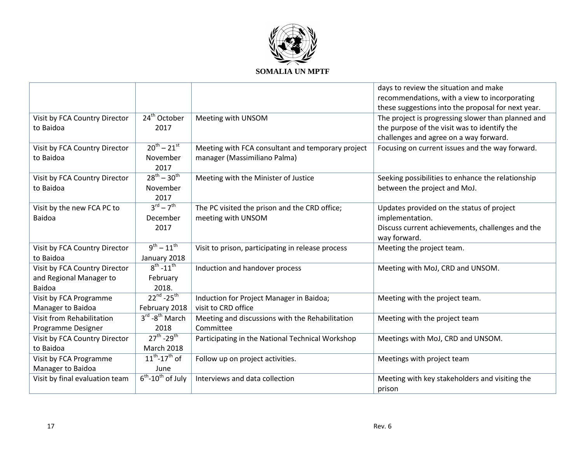

|                                |                                         |                                                   | days to review the situation and make              |
|--------------------------------|-----------------------------------------|---------------------------------------------------|----------------------------------------------------|
|                                |                                         |                                                   | recommendations, with a view to incorporating      |
|                                |                                         |                                                   | these suggestions into the proposal for next year. |
| Visit by FCA Country Director  | 24 <sup>th</sup> October                | Meeting with UNSOM                                | The project is progressing slower than planned and |
| to Baidoa                      | 2017                                    |                                                   | the purpose of the visit was to identify the       |
|                                |                                         |                                                   | challenges and agree on a way forward.             |
| Visit by FCA Country Director  | $20^{th} - 21^{st}$                     | Meeting with FCA consultant and temporary project | Focusing on current issues and the way forward.    |
| to Baidoa                      | November                                | manager (Massimiliano Palma)                      |                                                    |
|                                | 2017                                    |                                                   |                                                    |
| Visit by FCA Country Director  | $28^{th} - 30^{th}$                     | Meeting with the Minister of Justice              | Seeking possibilities to enhance the relationship  |
| to Baidoa                      | November                                |                                                   | between the project and MoJ.                       |
|                                | 2017                                    |                                                   |                                                    |
| Visit by the new FCA PC to     | $3^{\text{rd}} - 7^{\text{th}}$         | The PC visited the prison and the CRD office;     | Updates provided on the status of project          |
| <b>Baidoa</b>                  | December                                | meeting with UNSOM                                | implementation.                                    |
|                                | 2017                                    |                                                   | Discuss current achievements, challenges and the   |
|                                |                                         |                                                   | way forward.                                       |
| Visit by FCA Country Director  | $9^{th} - 11^{th}$                      | Visit to prison, participating in release process | Meeting the project team.                          |
| to Baidoa                      | January 2018                            |                                                   |                                                    |
| Visit by FCA Country Director  | $8^{th} - 11^{th}$                      | Induction and handover process                    | Meeting with MoJ, CRD and UNSOM.                   |
| and Regional Manager to        | February                                |                                                   |                                                    |
| <b>Baidoa</b>                  | 2018.                                   |                                                   |                                                    |
| Visit by FCA Programme         | $22^{nd} - 25^{th}$                     | Induction for Project Manager in Baidoa;          | Meeting with the project team.                     |
| Manager to Baidoa              | February 2018                           | visit to CRD office                               |                                                    |
| Visit from Rehabilitation      | $3^{\text{rd}}$ - $8^{\text{th}}$ March | Meeting and discussions with the Rehabilitation   | Meeting with the project team                      |
| Programme Designer             | 2018                                    | Committee                                         |                                                    |
| Visit by FCA Country Director  | $27^{th} - 29^{th}$                     | Participating in the National Technical Workshop  | Meetings with MoJ, CRD and UNSOM.                  |
| to Baidoa                      | <b>March 2018</b>                       |                                                   |                                                    |
| Visit by FCA Programme         | $11^{th}$ -17 <sup>th</sup> of          | Follow up on project activities.                  | Meetings with project team                         |
| Manager to Baidoa              | June                                    |                                                   |                                                    |
| Visit by final evaluation team | $6^{th}$ -10 <sup>th</sup> of July      | Interviews and data collection                    | Meeting with key stakeholders and visiting the     |
|                                |                                         |                                                   | prison                                             |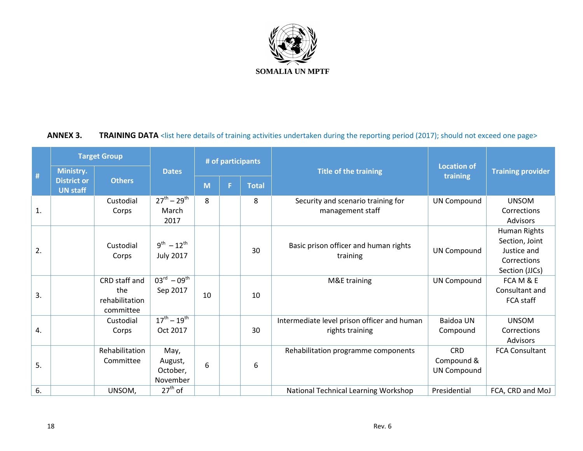

# **ANNEX 3.** TRAINING DATA <list here details of training activities undertaken during the reporting period (2017); should not exceed one page>

|    | <b>Target Group</b>                                |                                                     |                                               | # of participants |    |              |                                                                |                                                |                                                                                |
|----|----------------------------------------------------|-----------------------------------------------------|-----------------------------------------------|-------------------|----|--------------|----------------------------------------------------------------|------------------------------------------------|--------------------------------------------------------------------------------|
| #  | Ministry.<br><b>District or</b><br><b>UN staff</b> | <b>Others</b>                                       | <b>Dates</b>                                  | M                 | F. | <b>Total</b> | <b>Title of the training</b>                                   | <b>Location of</b><br>training                 | <b>Training provider</b>                                                       |
| 1. |                                                    | Custodial<br>Corps                                  | $27^{th} - 29^{th}$<br>March<br>2017          | 8                 |    | 8            | Security and scenario training for<br>management staff         | <b>UN Compound</b>                             | <b>UNSOM</b><br>Corrections<br><b>Advisors</b>                                 |
| 2. |                                                    | Custodial<br>Corps                                  | $9^{th} - 12^{th}$<br><b>July 2017</b>        |                   |    | 30           | Basic prison officer and human rights<br>training              | <b>UN Compound</b>                             | Human Rights<br>Section, Joint<br>Justice and<br>Corrections<br>Section (JJCs) |
| 3. |                                                    | CRD staff and<br>the<br>rehabilitation<br>committee | $03^{\text{rd}} - 09^{\text{th}}$<br>Sep 2017 | 10                |    | 10           | M&E training                                                   | <b>UN Compound</b>                             | FCA M & E<br>Consultant and<br>FCA staff                                       |
| 4. |                                                    | Custodial<br>Corps                                  | $17^{th} - 19^{th}$<br>Oct 2017               |                   |    | 30           | Intermediate level prison officer and human<br>rights training | <b>Baidoa UN</b><br>Compound                   | <b>UNSOM</b><br>Corrections<br><b>Advisors</b>                                 |
| 5. |                                                    | Rehabilitation<br>Committee                         | May,<br>August,<br>October,<br>November       | 6                 |    | 6            | Rehabilitation programme components                            | <b>CRD</b><br>Compound &<br><b>UN Compound</b> | <b>FCA Consultant</b>                                                          |
| 6. |                                                    | UNSOM,                                              | $27th$ of                                     |                   |    |              | National Technical Learning Workshop                           | Presidential                                   | FCA, CRD and MoJ                                                               |